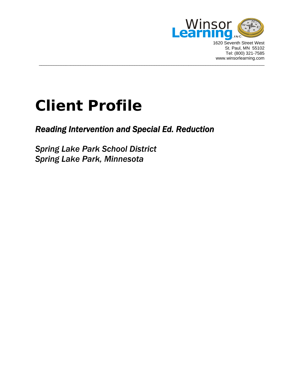

1620 Seventh Street West St. Paul, MN 55102 Tel: (800) 321-7585 www.winsorlearning.com

# **Client Profile**

## *Reading Intervention and Special Ed. Reduction*

 $\overline{a}$  , and the contribution of the contribution of the contribution of the contribution of the contribution of  $\overline{a}$ 

*Spring Lake Park School District Spring Lake Park, Minnesota*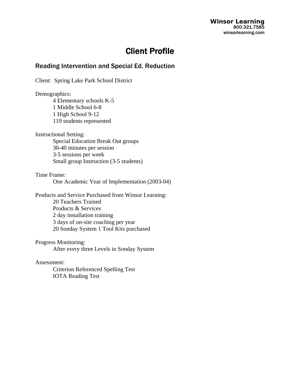**Winsor Learning**  800.321.7585 winsorlearning.com

## Client Profile

### Reading Intervention and Special Ed. Reduction

Client: Spring Lake Park School District

Demographics:

 4 Elementary schools K-5 1 Middle School 6-8 1 High School 9-12 119 students represented

Instructional Setting:

 Special Education Break Out groups 30-40 minutes per session 3-5 sessions per week Small group Instruction (3-5 students)

Time Frame:

One Academic Year of Implementation (2003-04)

Products and Service Purchased from Winsor Learning: 20 Teachers Trained Products & Services 2 day installation training 3 days of on-site coaching per year 20 Sonday System 1 Tool Kits purchased

Progress Monitoring:

After every three Levels in Sonday System

Assessment:

 Criterion Referenced Spelling Test IOTA Reading Test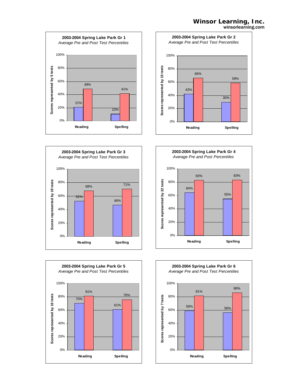#### **Winsor Learning, Inc.** winsorlearning.com